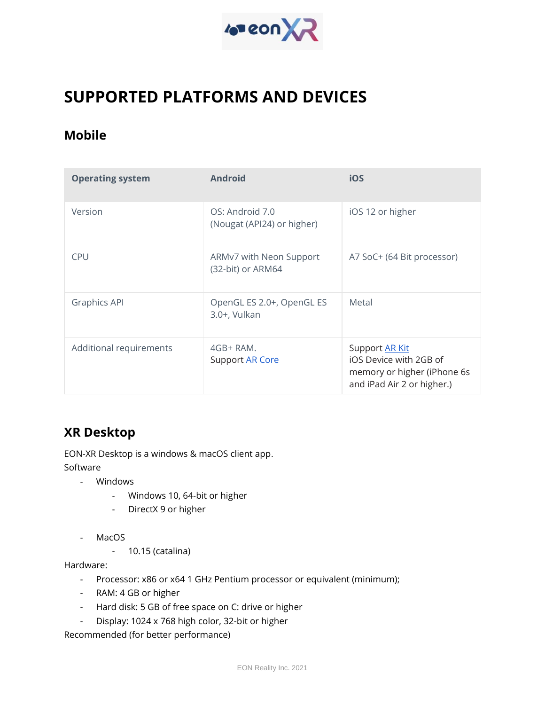

## **SUPPORTED PLATFORMS AND DEVICES**

## **Mobile**

| <b>Operating system</b> | <b>Android</b>                                | iOS                                                                                                   |
|-------------------------|-----------------------------------------------|-------------------------------------------------------------------------------------------------------|
| Version                 | OS: Android 7.0<br>(Nougat (API24) or higher) | iOS 12 or higher                                                                                      |
| <b>CPU</b>              | ARMv7 with Neon Support<br>(32-bit) or ARM64  | A7 SoC+ (64 Bit processor)                                                                            |
| <b>Graphics API</b>     | OpenGL ES 2.0+, OpenGL ES<br>3.0+, Vulkan     | Metal                                                                                                 |
| Additional requirements | $4GB+RAM.$<br>Support AR Core                 | Support AR Kit<br>iOS Device with 2GB of<br>memory or higher (iPhone 6s<br>and iPad Air 2 or higher.) |

## **XR Desktop**

EON-XR Desktop is a windows & macOS client app. Software

- Windows
	- Windows 10, 64-bit or higher
	- DirectX 9 or higher
- MacOS
	- 10.15 (catalina)

Hardware:

- Processor: x86 or x64 1 GHz Pentium processor or equivalent (minimum);
- RAM: 4 GB or higher
- Hard disk: 5 GB of free space on C: drive or higher
- Display: 1024 x 768 high color, 32-bit or higher

Recommended (for better performance)